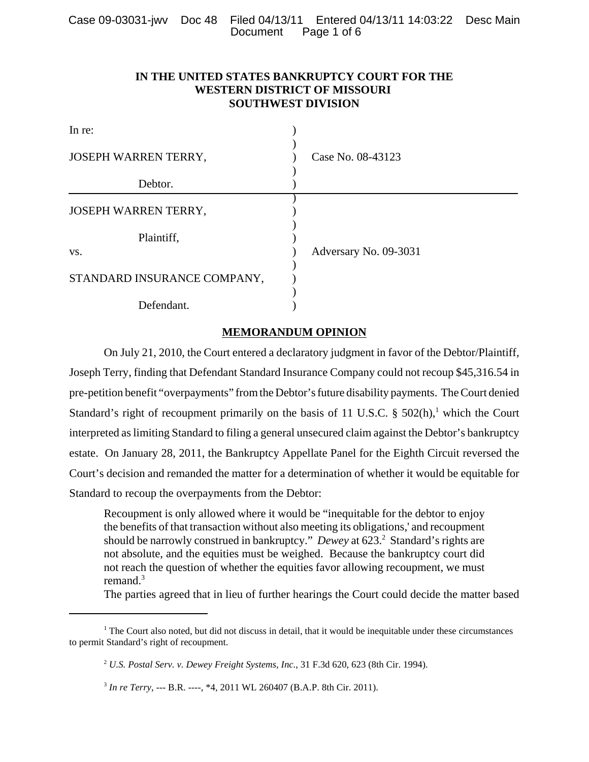# **IN THE UNITED STATES BANKRUPTCY COURT FOR THE WESTERN DISTRICT OF MISSOURI SOUTHWEST DIVISION**

| In re:                      |                       |
|-----------------------------|-----------------------|
| <b>JOSEPH WARREN TERRY,</b> | Case No. 08-43123     |
| Debtor.                     |                       |
| JOSEPH WARREN TERRY,        |                       |
| Plaintiff,<br>VS.           | Adversary No. 09-3031 |
| STANDARD INSURANCE COMPANY, |                       |
| Defendant.                  |                       |

# **MEMORANDUM OPINION**

On July 21, 2010, the Court entered a declaratory judgment in favor of the Debtor/Plaintiff, Joseph Terry, finding that Defendant Standard Insurance Company could not recoup \$45,316.54 in pre-petition benefit "overpayments" from the Debtor's future disability payments. The Court denied Standard's right of recoupment primarily on the basis of 11 U.S.C.  $\S$  502(h),<sup>1</sup> which the Court interpreted as limiting Standard to filing a general unsecured claim against the Debtor's bankruptcy estate. On January 28, 2011, the Bankruptcy Appellate Panel for the Eighth Circuit reversed the Court's decision and remanded the matter for a determination of whether it would be equitable for Standard to recoup the overpayments from the Debtor:

Recoupment is only allowed where it would be "inequitable for the debtor to enjoy the benefits of that transaction without also meeting its obligations,' and recoupment should be narrowly construed in bankruptcy." *Dewey* at 623.<sup>2</sup> Standard's rights are not absolute, and the equities must be weighed. Because the bankruptcy court did not reach the question of whether the equities favor allowing recoupment, we must remand. $3$ 

The parties agreed that in lieu of further hearings the Court could decide the matter based

<sup>&</sup>lt;sup>1</sup> The Court also noted, but did not discuss in detail, that it would be inequitable under these circumstances to permit Standard's right of recoupment.

<sup>2</sup> *U.S. Postal Serv. v. Dewey Freight Systems, Inc.*, 31 F.3d 620, 623 (8th Cir. 1994).

<sup>3</sup> *In re Terry*, --- B.R. ----, \*4, 2011 WL 260407 (B.A.P. 8th Cir. 2011).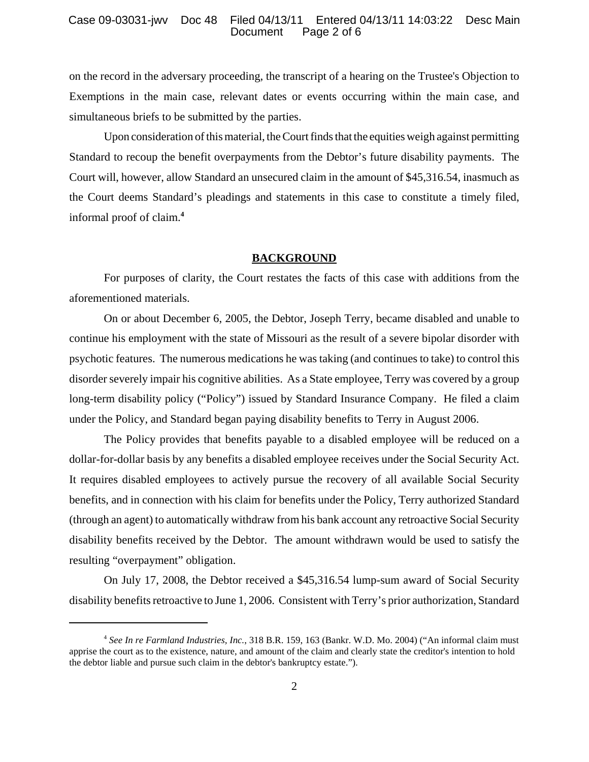on the record in the adversary proceeding, the transcript of a hearing on the Trustee's Objection to Exemptions in the main case, relevant dates or events occurring within the main case, and simultaneous briefs to be submitted by the parties.

Upon consideration of this material, the Court finds that the equities weigh against permitting Standard to recoup the benefit overpayments from the Debtor's future disability payments. The Court will, however, allow Standard an unsecured claim in the amount of \$45,316.54, inasmuch as the Court deems Standard's pleadings and statements in this case to constitute a timely filed, informal proof of claim.**<sup>4</sup>**

### **BACKGROUND**

For purposes of clarity, the Court restates the facts of this case with additions from the aforementioned materials.

On or about December 6, 2005, the Debtor, Joseph Terry, became disabled and unable to continue his employment with the state of Missouri as the result of a severe bipolar disorder with psychotic features. The numerous medications he was taking (and continues to take) to control this disorder severely impair his cognitive abilities. As a State employee, Terry was covered by a group long-term disability policy ("Policy") issued by Standard Insurance Company. He filed a claim under the Policy, and Standard began paying disability benefits to Terry in August 2006.

The Policy provides that benefits payable to a disabled employee will be reduced on a dollar-for-dollar basis by any benefits a disabled employee receives under the Social Security Act. It requires disabled employees to actively pursue the recovery of all available Social Security benefits, and in connection with his claim for benefits under the Policy, Terry authorized Standard (through an agent) to automatically withdraw from his bank account any retroactive Social Security disability benefits received by the Debtor. The amount withdrawn would be used to satisfy the resulting "overpayment" obligation.

On July 17, 2008, the Debtor received a \$45,316.54 lump-sum award of Social Security disability benefits retroactive to June 1, 2006. Consistent with Terry's prior authorization, Standard

<sup>4</sup> *See In re Farmland Industries, Inc.*, 318 B.R. 159, 163 (Bankr. W.D. Mo. 2004) ("An informal claim must apprise the court as to the existence, nature, and amount of the claim and clearly state the creditor's intention to hold the debtor liable and pursue such claim in the debtor's bankruptcy estate.").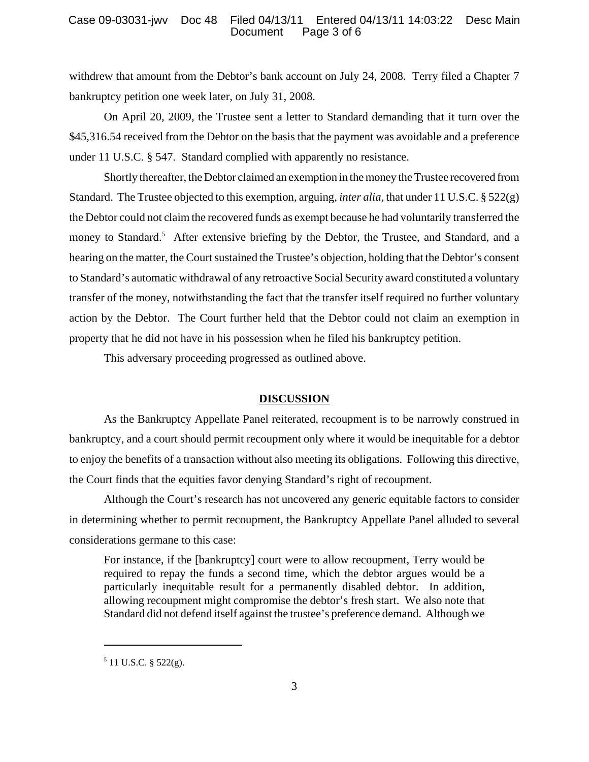## Case 09-03031-jwv Doc 48 Filed 04/13/11 Entered 04/13/11 14:03:22 Desc Main Page 3 of 6

withdrew that amount from the Debtor's bank account on July 24, 2008. Terry filed a Chapter 7 bankruptcy petition one week later, on July 31, 2008.

On April 20, 2009, the Trustee sent a letter to Standard demanding that it turn over the \$45,316.54 received from the Debtor on the basis that the payment was avoidable and a preference under 11 U.S.C. § 547. Standard complied with apparently no resistance.

Shortly thereafter, the Debtor claimed an exemption in the money the Trustee recovered from Standard. The Trustee objected to this exemption, arguing, *inter alia*, that under 11 U.S.C. § 522(g) the Debtor could not claim the recovered funds as exempt because he had voluntarily transferred the money to Standard.<sup>5</sup> After extensive briefing by the Debtor, the Trustee, and Standard, and a hearing on the matter, the Court sustained the Trustee's objection, holding that the Debtor's consent to Standard's automatic withdrawal of any retroactive Social Security award constituted a voluntary transfer of the money, notwithstanding the fact that the transfer itself required no further voluntary action by the Debtor. The Court further held that the Debtor could not claim an exemption in property that he did not have in his possession when he filed his bankruptcy petition.

This adversary proceeding progressed as outlined above.

### **DISCUSSION**

As the Bankruptcy Appellate Panel reiterated, recoupment is to be narrowly construed in bankruptcy, and a court should permit recoupment only where it would be inequitable for a debtor to enjoy the benefits of a transaction without also meeting its obligations. Following this directive, the Court finds that the equities favor denying Standard's right of recoupment.

Although the Court's research has not uncovered any generic equitable factors to consider in determining whether to permit recoupment, the Bankruptcy Appellate Panel alluded to several considerations germane to this case:

For instance, if the [bankruptcy] court were to allow recoupment, Terry would be required to repay the funds a second time, which the debtor argues would be a particularly inequitable result for a permanently disabled debtor. In addition, allowing recoupment might compromise the debtor's fresh start. We also note that Standard did not defend itself against the trustee's preference demand. Although we

 $5$  11 U.S.C. § 522(g).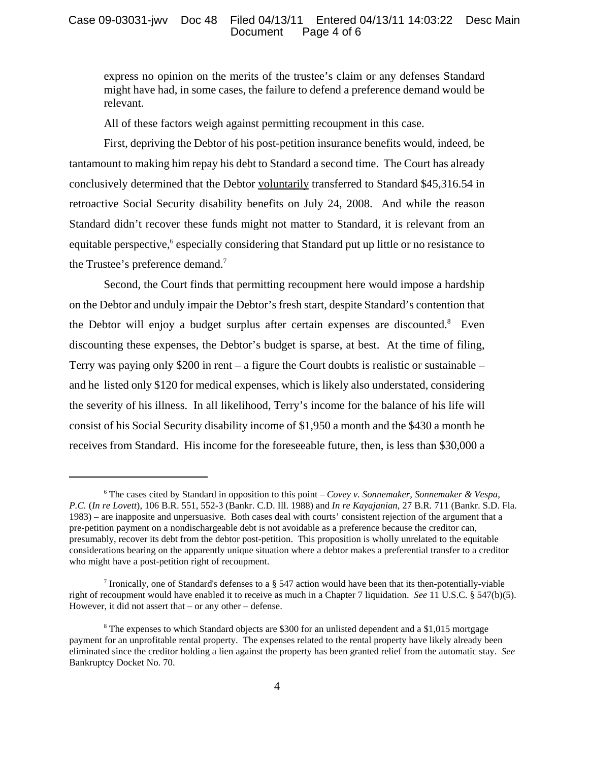### Case 09-03031-jwv Doc 48 Filed 04/13/11 Entered 04/13/11 14:03:22 Desc Main Page 4 of 6

express no opinion on the merits of the trustee's claim or any defenses Standard might have had, in some cases, the failure to defend a preference demand would be relevant.

All of these factors weigh against permitting recoupment in this case.

First, depriving the Debtor of his post-petition insurance benefits would, indeed, be tantamount to making him repay his debt to Standard a second time. The Court has already conclusively determined that the Debtor voluntarily transferred to Standard \$45,316.54 in retroactive Social Security disability benefits on July 24, 2008. And while the reason Standard didn't recover these funds might not matter to Standard, it is relevant from an equitable perspective,<sup>6</sup> especially considering that Standard put up little or no resistance to the Trustee's preference demand.<sup>7</sup>

Second, the Court finds that permitting recoupment here would impose a hardship on the Debtor and unduly impair the Debtor's fresh start, despite Standard's contention that the Debtor will enjoy a budget surplus after certain expenses are discounted.<sup>8</sup> Even discounting these expenses, the Debtor's budget is sparse, at best. At the time of filing, Terry was paying only \$200 in rent – a figure the Court doubts is realistic or sustainable – and he listed only \$120 for medical expenses, which is likely also understated, considering the severity of his illness. In all likelihood, Terry's income for the balance of his life will consist of his Social Security disability income of \$1,950 a month and the \$430 a month he receives from Standard. His income for the foreseeable future, then, is less than \$30,000 a

<sup>6</sup> The cases cited by Standard in opposition to this point – *Covey v. Sonnemaker, Sonnemaker & Vespa, P.C.* (*In re Lovett*), 106 B.R. 551, 552-3 (Bankr. C.D. Ill. 1988) and *In re Kayajanian*, 27 B.R. 711 (Bankr. S.D. Fla. 1983) – are inapposite and unpersuasive. Both cases deal with courts' consistent rejection of the argument that a pre-petition payment on a nondischargeable debt is not avoidable as a preference because the creditor can, presumably, recover its debt from the debtor post-petition. This proposition is wholly unrelated to the equitable considerations bearing on the apparently unique situation where a debtor makes a preferential transfer to a creditor who might have a post-petition right of recoupment.

<sup>&</sup>lt;sup>7</sup> Ironically, one of Standard's defenses to a  $\S$  547 action would have been that its then-potentially-viable right of recoupment would have enabled it to receive as much in a Chapter 7 liquidation. *See* 11 U.S.C. § 547(b)(5). However, it did not assert that – or any other – defense.

 $8$  The expenses to which Standard objects are \$300 for an unlisted dependent and a \$1,015 mortgage payment for an unprofitable rental property. The expenses related to the rental property have likely already been eliminated since the creditor holding a lien against the property has been granted relief from the automatic stay. *See* Bankruptcy Docket No. 70.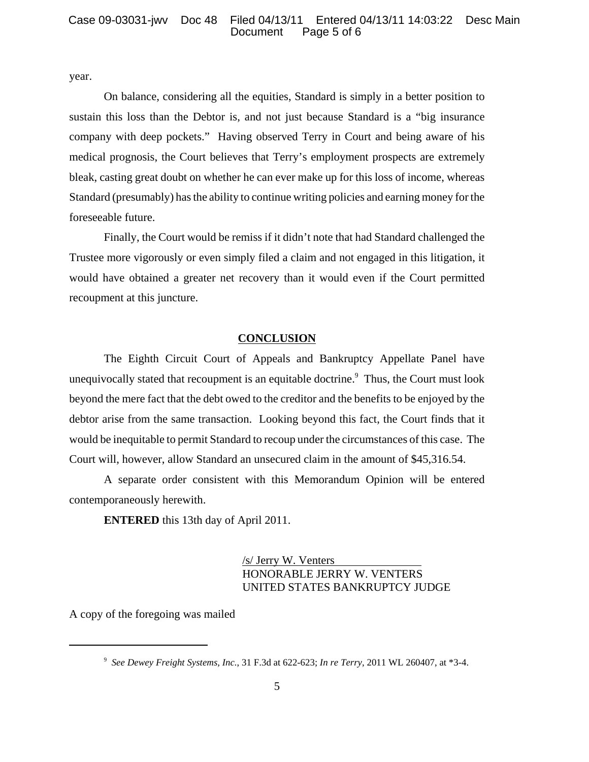year.

On balance, considering all the equities, Standard is simply in a better position to sustain this loss than the Debtor is, and not just because Standard is a "big insurance company with deep pockets." Having observed Terry in Court and being aware of his medical prognosis, the Court believes that Terry's employment prospects are extremely bleak, casting great doubt on whether he can ever make up for this loss of income, whereas Standard (presumably) has the ability to continue writing policies and earning money for the foreseeable future.

Finally, the Court would be remiss if it didn't note that had Standard challenged the Trustee more vigorously or even simply filed a claim and not engaged in this litigation, it would have obtained a greater net recovery than it would even if the Court permitted recoupment at this juncture.

# **CONCLUSION**

The Eighth Circuit Court of Appeals and Bankruptcy Appellate Panel have unequivocally stated that recoupment is an equitable doctrine.<sup>9</sup> Thus, the Court must look beyond the mere fact that the debt owed to the creditor and the benefits to be enjoyed by the debtor arise from the same transaction. Looking beyond this fact, the Court finds that it would be inequitable to permit Standard to recoup under the circumstances of this case. The Court will, however, allow Standard an unsecured claim in the amount of \$45,316.54.

A separate order consistent with this Memorandum Opinion will be entered contemporaneously herewith.

**ENTERED** this 13th day of April 2011.

/s/ Jerry W. Venters HONORABLE JERRY W. VENTERS UNITED STATES BANKRUPTCY JUDGE

A copy of the foregoing was mailed

<sup>9</sup> *See Dewey Freight Systems, Inc.*, 31 F.3d at 622-623; *In re Terry*, 2011 WL 260407, at \*3-4.